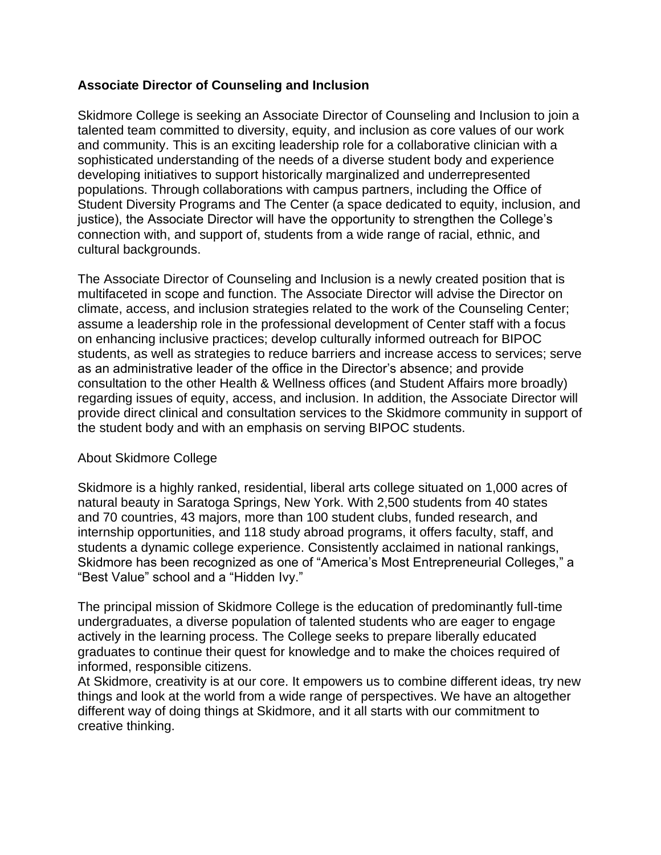## **Associate Director of Counseling and Inclusion**

Skidmore College is seeking an Associate Director of Counseling and Inclusion to join a talented team committed to diversity, equity, and inclusion as core values of our work and community. This is an exciting leadership role for a collaborative clinician with a sophisticated understanding of the needs of a diverse student body and experience developing initiatives to support historically marginalized and underrepresented populations. Through collaborations with campus partners, including the Office of Student Diversity Programs and The Center (a space dedicated to equity, inclusion, and justice), the Associate Director will have the opportunity to strengthen the College's connection with, and support of, students from a wide range of racial, ethnic, and cultural backgrounds.

The Associate Director of Counseling and Inclusion is a newly created position that is multifaceted in scope and function. The Associate Director will advise the Director on climate, access, and inclusion strategies related to the work of the Counseling Center; assume a leadership role in the professional development of Center staff with a focus on enhancing inclusive practices; develop culturally informed outreach for BIPOC students, as well as strategies to reduce barriers and increase access to services; serve as an administrative leader of the office in the Director's absence; and provide consultation to the other Health & Wellness offices (and Student Affairs more broadly) regarding issues of equity, access, and inclusion. In addition, the Associate Director will provide direct clinical and consultation services to the Skidmore community in support of the student body and with an emphasis on serving BIPOC students.

### About Skidmore College

Skidmore is a highly ranked, residential, liberal arts college situated on 1,000 acres of natural beauty in Saratoga Springs, New York. With 2,500 students from 40 states and 70 countries, 43 majors, more than 100 student clubs, funded research, and internship opportunities, and 118 study abroad programs, it offers faculty, staff, and students a dynamic college experience. Consistently acclaimed in national rankings, Skidmore has been recognized as one of "America's Most Entrepreneurial Colleges," a "Best Value" school and a "Hidden Ivy."

The principal mission of Skidmore College is the education of predominantly full-time undergraduates, a diverse population of talented students who are eager to engage actively in the learning process. The College seeks to prepare liberally educated graduates to continue their quest for knowledge and to make the choices required of informed, responsible citizens.

At Skidmore, creativity is at our core. It empowers us to combine different ideas, try new things and look at the world from a wide range of perspectives. We have an altogether different way of doing things at Skidmore, and it all starts with our commitment to creative thinking.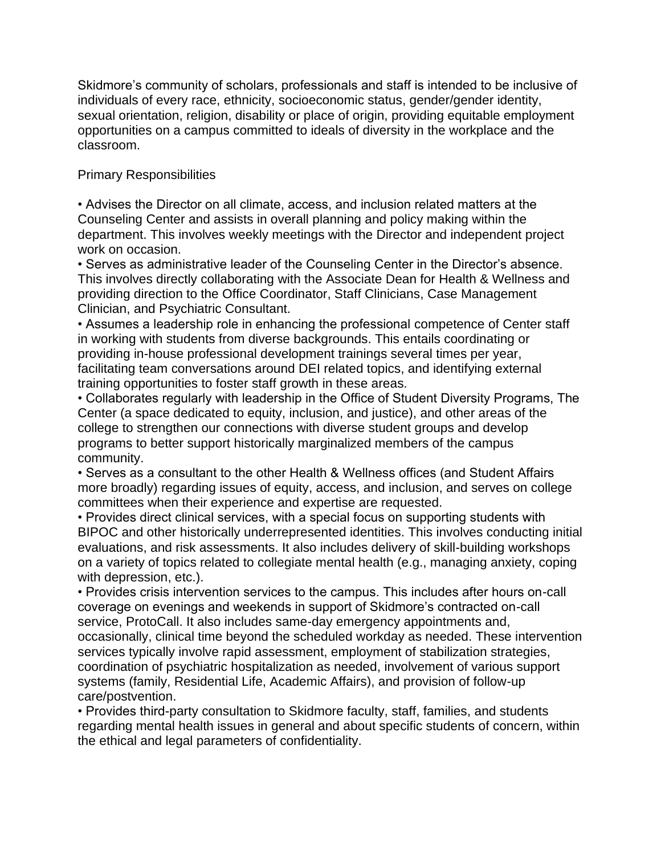Skidmore's community of scholars, professionals and staff is intended to be inclusive of individuals of every race, ethnicity, socioeconomic status, gender/gender identity, sexual orientation, religion, disability or place of origin, providing equitable employment opportunities on a campus committed to ideals of diversity in the workplace and the classroom.

## Primary Responsibilities

• Advises the Director on all climate, access, and inclusion related matters at the Counseling Center and assists in overall planning and policy making within the department. This involves weekly meetings with the Director and independent project work on occasion.

• Serves as administrative leader of the Counseling Center in the Director's absence. This involves directly collaborating with the Associate Dean for Health & Wellness and providing direction to the Office Coordinator, Staff Clinicians, Case Management Clinician, and Psychiatric Consultant.

• Assumes a leadership role in enhancing the professional competence of Center staff in working with students from diverse backgrounds. This entails coordinating or providing in-house professional development trainings several times per year, facilitating team conversations around DEI related topics, and identifying external training opportunities to foster staff growth in these areas.

• Collaborates regularly with leadership in the Office of Student Diversity Programs, The Center (a space dedicated to equity, inclusion, and justice), and other areas of the college to strengthen our connections with diverse student groups and develop programs to better support historically marginalized members of the campus community.

• Serves as a consultant to the other Health & Wellness offices (and Student Affairs more broadly) regarding issues of equity, access, and inclusion, and serves on college committees when their experience and expertise are requested.

• Provides direct clinical services, with a special focus on supporting students with BIPOC and other historically underrepresented identities. This involves conducting initial evaluations, and risk assessments. It also includes delivery of skill-building workshops on a variety of topics related to collegiate mental health (e.g., managing anxiety, coping with depression, etc.).

• Provides crisis intervention services to the campus. This includes after hours on-call coverage on evenings and weekends in support of Skidmore's contracted on-call service, ProtoCall. It also includes same-day emergency appointments and, occasionally, clinical time beyond the scheduled workday as needed. These intervention services typically involve rapid assessment, employment of stabilization strategies, coordination of psychiatric hospitalization as needed, involvement of various support systems (family, Residential Life, Academic Affairs), and provision of follow-up care/postvention.

• Provides third-party consultation to Skidmore faculty, staff, families, and students regarding mental health issues in general and about specific students of concern, within the ethical and legal parameters of confidentiality.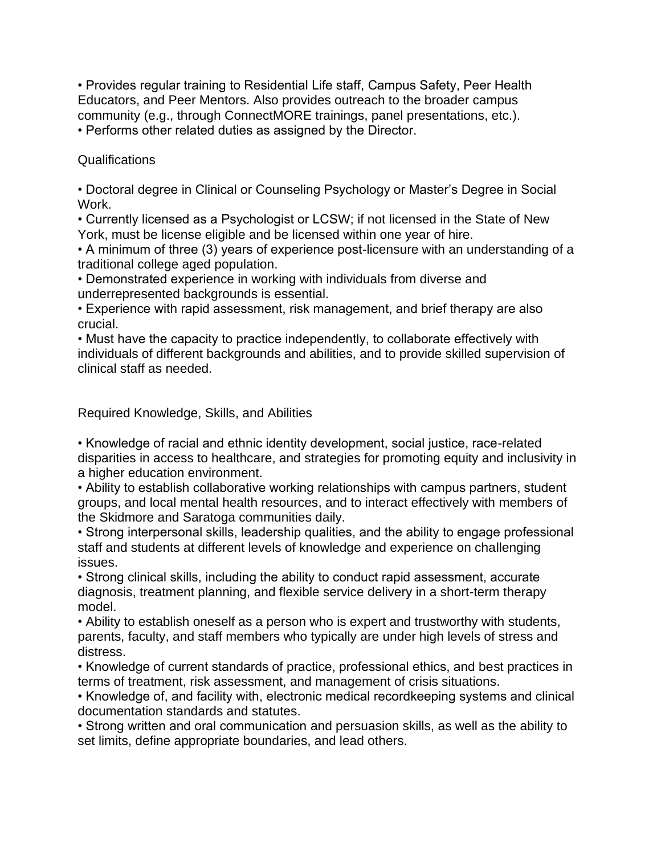• Provides regular training to Residential Life staff, Campus Safety, Peer Health Educators, and Peer Mentors. Also provides outreach to the broader campus community (e.g., through ConnectMORE trainings, panel presentations, etc.). • Performs other related duties as assigned by the Director.

Qualifications

• Doctoral degree in Clinical or Counseling Psychology or Master's Degree in Social Work.

• Currently licensed as a Psychologist or LCSW; if not licensed in the State of New York, must be license eligible and be licensed within one year of hire.

• A minimum of three (3) years of experience post-licensure with an understanding of a traditional college aged population.

• Demonstrated experience in working with individuals from diverse and underrepresented backgrounds is essential.

• Experience with rapid assessment, risk management, and brief therapy are also crucial.

• Must have the capacity to practice independently, to collaborate effectively with individuals of different backgrounds and abilities, and to provide skilled supervision of clinical staff as needed.

Required Knowledge, Skills, and Abilities

• Knowledge of racial and ethnic identity development, social justice, race-related disparities in access to healthcare, and strategies for promoting equity and inclusivity in a higher education environment.

• Ability to establish collaborative working relationships with campus partners, student groups, and local mental health resources, and to interact effectively with members of the Skidmore and Saratoga communities daily.

• Strong interpersonal skills, leadership qualities, and the ability to engage professional staff and students at different levels of knowledge and experience on challenging issues.

• Strong clinical skills, including the ability to conduct rapid assessment, accurate diagnosis, treatment planning, and flexible service delivery in a short-term therapy model.

• Ability to establish oneself as a person who is expert and trustworthy with students, parents, faculty, and staff members who typically are under high levels of stress and distress.

• Knowledge of current standards of practice, professional ethics, and best practices in terms of treatment, risk assessment, and management of crisis situations.

• Knowledge of, and facility with, electronic medical recordkeeping systems and clinical documentation standards and statutes.

• Strong written and oral communication and persuasion skills, as well as the ability to set limits, define appropriate boundaries, and lead others.